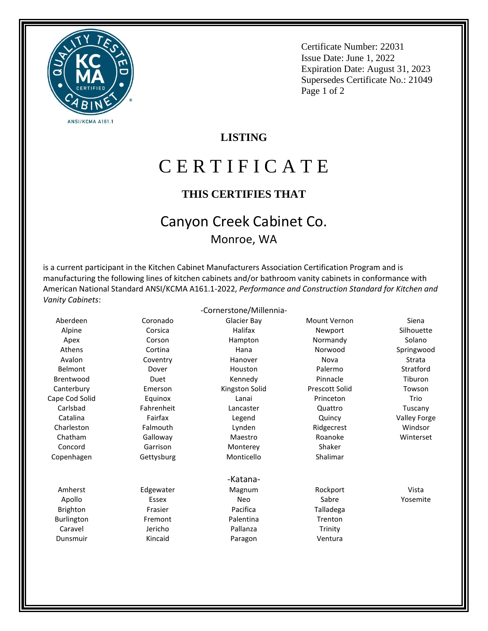

Certificate Number: 22031 Issue Date: June 1, 2022 Expiration Date: August 31, 2023 Supersedes Certificate No.: 21049 Page 1 of 2

## **LISTING**

## C E R T I F I C A T E

## **THIS CERTIFIES THAT**

## Canyon Creek Cabinet Co. Monroe, WA

is a current participant in the Kitchen Cabinet Manufacturers Association Certification Program and is manufacturing the following lines of kitchen cabinets and/or bathroom vanity cabinets in conformance with American National Standard ANSI/KCMA A161.1-2022, *Performance and Construction Standard for Kitchen and Vanity Cabinets*:

-Cornerstone/Millennia-Aberdeen Alpine Apex Athens Avalon Belmont Brentwood **Canterbury** Cape Cod Solid Carlsbad Catalina Charleston Chatham Concord Copenhagen Coronado Corsica Corson Cortina Coventry Dover Duet Emerson Equinox Fahrenheit Fairfax Falmouth Galloway Garrison Gettysburg Glacier Bay Halifax Hampton Hana Hanover Houston Kennedy Kingston Solid Lanai Lancaster Legend Lynden Maestro Monterey Monticello Mount Vernon **Newport** Normandy Norwood Nova Palermo Pinnacle Prescott Solid Princeton **Quattro** Quincy Ridgecrest Roanoke Shaker Shalimar Siena Silhouette Solano Springwood Strata Stratford Tiburon Towson Trio Tuscany Valley Forge Windsor Winterset -Katana-Amherst Apollo Brighton Burlington Caravel Dunsmuir Edgewater Essex Frasier Fremont Jericho Kincaid Magnum Neo Pacifica Palentina Pallanza Paragon Rockport Sabre Talladega Trenton Trinity Ventura Vista Yosemite